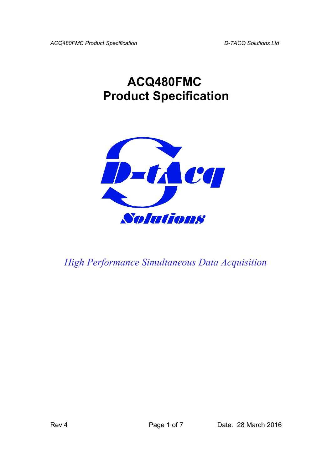*ACQ480FMC Product Specification D-TACQ Solutions Ltd* 

# **ACQ480FMC Product Specification**



*High Performance Simultaneous Data Acquisition*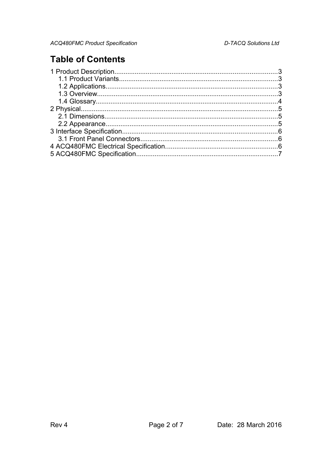## **Table of Contents**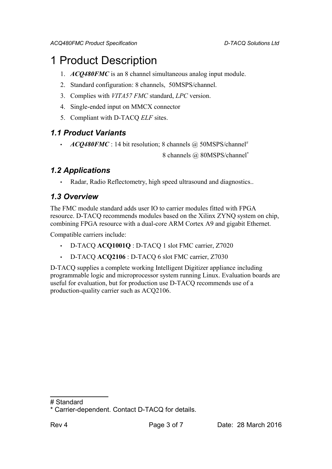## 1 Product Description

- 1. *ACQ480FMC* is an 8 channel simultaneous analog input module.
- 2. Standard configuration: 8 channels, 50MSPS/channel.
- 3. Complies with *VITA57 FMC* standard, *LPC* version.
- 4. Single-ended input on MMCX connector
- 5. Compliant with D-TACQ *ELF* sites.

### *1.1 Product Variants*

• *ACQ480FMC* : 14 bit resolution; 8 channels @ 50MSPS/channel[#](#page-2-0)

8 channels @ 80MSPS/channel[\\*](#page-2-1)

### *1.2 Applications*

• Radar, Radio Reflectometry, high speed ultrasound and diagnostics..

## *1.3 Overview*

The FMC module standard adds user IO to carrier modules fitted with FPGA resource. D-TACQ recommends modules based on the Xilinx ZYNQ system on chip, combining FPGA resource with a dual-core ARM Cortex A9 and gigabit Ethernet.

Compatible carriers include:

- D-TACQ **ACQ1001Q** : D-TACQ 1 slot FMC carrier, Z7020
- D-TACQ **ACQ2106** : D-TACQ 6 slot FMC carrier, Z7030

D-TACQ supplies a complete working Intelligent Digitizer appliance including programmable logic and microprocessor system running Linux. Evaluation boards are useful for evaluation, but for production use D-TACQ recommends use of a production-quality carrier such as ACQ2106.

<span id="page-2-0"></span><sup>#</sup> Standard

<span id="page-2-1"></span><sup>\*</sup> Carrier-dependent. Contact D-TACQ for details.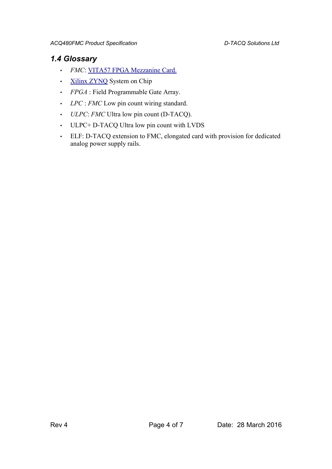#### *1.4 Glossary*

- *FMC*: [VITA57 FPGA Mezzanine Card.](http://www.vita.com/fmc.html)
- [Xilinx ZYNQ](http://www.xilinx.com/products/silicon-devices/soc/zynq-7000/index.htm) System on Chip
- *FPGA* : Field Programmable Gate Array.
- *LPC* : *FMC* Low pin count wiring standard.
- *ULPC*: *FMC* Ultra low pin count (D-TACQ).
- ULPC+ D-TACQ Ultra low pin count with LVDS
- ELF: D-TACQ extension to FMC, elongated card with provision for dedicated analog power supply rails.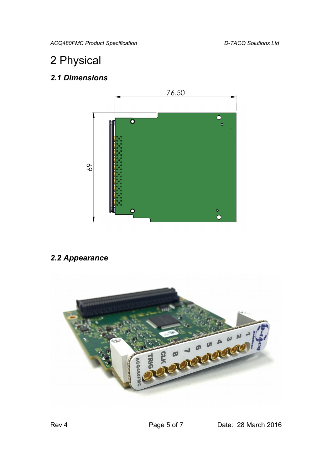*ACQ480FMC Product Specification D-TACQ Solutions Ltd* 

# 2 Physical

## *2.1 Dimensions*



## *2.2 Appearance*

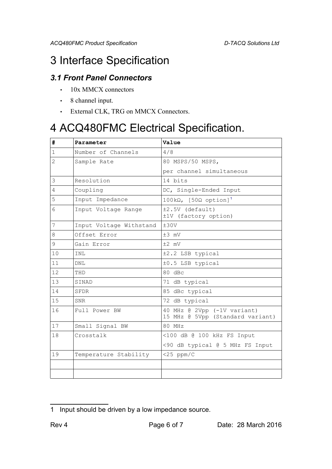## 3 Interface Specification

## *3.1 Front Panel Connectors*

- 10x MMCX connectors
- 8 channel input.
- External CLK, TRG on MMCX Connectors.

## 4 ACQ480FMC Electrical Specification.

| #              | Parameter               | Value                                                           |
|----------------|-------------------------|-----------------------------------------------------------------|
| $\mathbf{1}$   | Number of Channels      | 4/8                                                             |
| $\overline{2}$ | Sample Rate             | 80 MSPS/50 MSPS,                                                |
|                |                         | per channel simultaneous                                        |
| 3              | Resolution              | 14 bits                                                         |
| 4              | Coupling                | DC, Single-Ended Input                                          |
| 5              | Input Impedance         | 100kΩ, $[50\Omega \text{ option}]$ <sup>1</sup>                 |
| 6              | Input Voltage Range     | $±2.5V$ (default)<br>±1V (factory option)                       |
| 7              | Input Voltage Withstand | ±30V                                                            |
| 8              | Offset Error            | $±3$ mV                                                         |
| 9              | Gain Error              | $±2$ mV                                                         |
| 10             | INL                     | ±2.2 LSB typical                                                |
| 11             | DNL                     | ±0.5 LSB typical                                                |
| 12             | THD                     | 80 dBc                                                          |
| 13             | SINAD                   | 71 dB typical                                                   |
| 14             | SFDR                    | 85 dBc typical                                                  |
| 15             | <b>SNR</b>              | 72 dB typical                                                   |
| 16             | Full Power BW           | 40 MHz @ 2Vpp (-1V variant)<br>15 MHz @ 5Vpp (Standard variant) |
| 17             | Small Signal BW         | 80 MHz                                                          |
| 18             | Crosstalk               | <100 dB @ 100 kHz FS Input                                      |
|                |                         | <90 dB typical @ 5 MHz FS Input                                 |
| 19             | Temperature Stability   | $<$ 25 ppm/C                                                    |
|                |                         |                                                                 |
|                |                         |                                                                 |

<span id="page-5-0"></span>Input should be driven by a low impedance source.